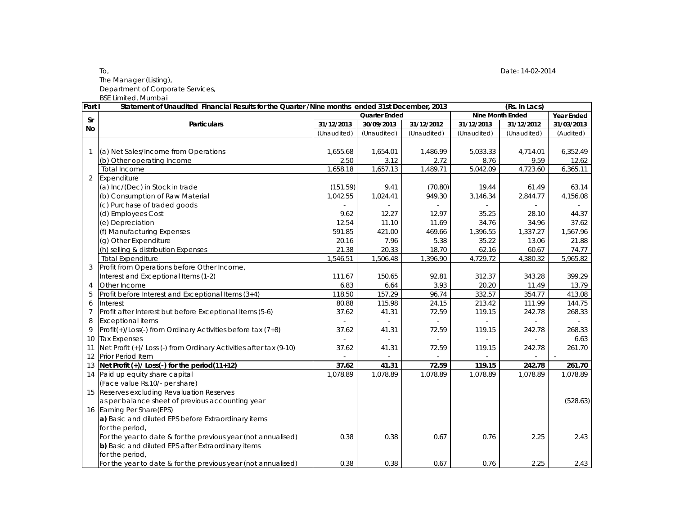## To, Date: 14-02-2014 The Manager (Listing), Department of Corporate Services,

BSE Limited, Mumbai

| Part I         | Statement of Unaudited Financial Results for the Quarter /Nine months ended 31st December, 2013 |                      |             |             | (Rs. In Lacs)           |             |                   |  |
|----------------|-------------------------------------------------------------------------------------------------|----------------------|-------------|-------------|-------------------------|-------------|-------------------|--|
| <b>Sr</b>      |                                                                                                 | <b>Quarter Ended</b> |             |             | <b>Nine Month Ended</b> |             | <b>Year Ended</b> |  |
| <b>No</b>      | <b>Particulars</b>                                                                              | 31/12/2013           | 30/09/2013  | 31/12/2012  | 31/12/2013              | 31/12/2012  | 31/03/2013        |  |
|                |                                                                                                 | (Unaudited)          | (Unaudited) | (Unaudited) | (Unaudited)             | (Unaudited) | (Audited)         |  |
|                |                                                                                                 |                      |             |             |                         |             |                   |  |
|                | (a) Net Sales/Income from Operations                                                            | 1,655.68             | 1,654.01    | 1.486.99    | 5,033.33                | 4,714.01    | 6,352.49          |  |
|                | (b) Other operating Income                                                                      | 2.50                 | 3.12        | 2.72        | 8.76                    | 9.59        | 12.62             |  |
|                | Total Income                                                                                    | 1,658.18             | 1,657.13    | 1,489.71    | 5,042.09                | 4,723.60    | 6,365.11          |  |
| $\overline{2}$ | Expenditure                                                                                     |                      |             |             |                         |             |                   |  |
|                | (a) Inc/(Dec) in Stock in trade                                                                 | (151.59)             | 9.41        | (70.80)     | 19.44                   | 61.49       | 63.14             |  |
|                | (b) Consumption of Raw Material                                                                 | 1,042.55             | 1,024.41    | 949.30      | 3,146.34                | 2,844.77    | 4,156.08          |  |
|                | (c) Purchase of traded goods                                                                    |                      |             |             |                         |             |                   |  |
|                | (d) Employees Cost                                                                              | 9.62                 | 12.27       | 12.97       | 35.25                   | 28.10       | 44.37             |  |
|                | (e) Depreciation                                                                                | 12.54                | 11.10       | 11.69       | 34.76                   | 34.96       | 37.62             |  |
|                | (f) Manufacturing Expenses                                                                      | 591.85               | 421.00      | 469.66      | 1,396.55                | 1,337.27    | 1,567.96          |  |
|                | (g) Other Expenditure                                                                           | 20.16                | 7.96        | 5.38        | 35.22                   | 13.06       | 21.88             |  |
|                | (h) selling & distribution Expenses                                                             | 21.38                | 20.33       | 18.70       | 62.16                   | 60.67       | 74.77             |  |
|                | <b>Total Expenditure</b>                                                                        | 1,546.51             | 1,506.48    | 1,396.90    | 4,729.72                | 4,380.32    | 5,965.82          |  |
|                | Profit from Operations before Other Income,                                                     |                      |             |             |                         |             |                   |  |
|                | Interest and Exceptional Items (1-2)                                                            | 111.67               | 150.65      | 92.81       | 312.37                  | 343.28      | 399.29            |  |
| 4              | Other Income                                                                                    | 6.83                 | 6.64        | 3.93        | 20.20                   | 11.49       | 13.79             |  |
| 5              | Profit before Interest and Exceptional Items (3+4)                                              | 118.50               | 157.29      | 96.74       | 332.57                  | 354.77      | 413.08            |  |
| 6              | Interest                                                                                        | 80.88                | 115.98      | 24.15       | 213.42                  | 111.99      | 144.75            |  |
| $\overline{7}$ | Profit after Interest but before Exceptional Items (5-6)                                        | 37.62                | 41.31       | 72.59       | 119.15                  | 242.78      | 268.33            |  |
| 8              | <b>Exceptional items</b>                                                                        |                      | $\omega$    |             |                         | $\omega$    |                   |  |
| $\mathsf{Q}$   | Profit(+)/Loss(-) from Ordinary Activities before tax (7+8)                                     | 37.62                | 41.31       | 72.59       | 119.15                  | 242.78      | 268.33            |  |
| 10             | <b>Tax Expenses</b>                                                                             |                      | $\sim$      |             |                         |             | 6.63              |  |
| 11             | Net Profit (+)/ Loss (-) from Ordinary Activities after tax (9-10)                              | 37.62                | 41.31       | 72.59       | 119.15                  | 242.78      | 261.70            |  |
| 12             | Prior Period Item                                                                               |                      |             |             |                         |             |                   |  |
| 13             | Net Profit (+)/ Loss(-) for the period(11+12)                                                   | 37.62                | 41.31       | 72.59       | 119.15                  | 242.78      | 261.70            |  |
|                | 14 Paid up equity share capital                                                                 | 1.078.89             | 1.078.89    | 1.078.89    | 1,078.89                | 1.078.89    | 1.078.89          |  |
|                | (Face value Rs.10/- per share)                                                                  |                      |             |             |                         |             |                   |  |
|                | 15 Reserves excluding Revaluation Reserves                                                      |                      |             |             |                         |             |                   |  |
|                | as per balance sheet of previous accounting year                                                |                      |             |             |                         |             | (528.63)          |  |
|                | 16 Earning Per Share(EPS)                                                                       |                      |             |             |                         |             |                   |  |
|                | a) Basic and diluted EPS before Extraordinary items                                             |                      |             |             |                         |             |                   |  |
|                | for the period,                                                                                 |                      |             |             |                         |             |                   |  |
|                | For the year to date & for the previous year (not annualised)                                   | 0.38                 | 0.38        | 0.67        | 0.76                    | 2.25        | 2.43              |  |
|                | b) Basic and diluted EPS after Extraordinary items                                              |                      |             |             |                         |             |                   |  |
|                | for the period,                                                                                 |                      |             |             |                         |             |                   |  |
|                | For the year to date & for the previous year (not annualised)                                   | 0.38                 | 0.38        | 0.67        | 0.76                    | 2.25        | 2.43              |  |